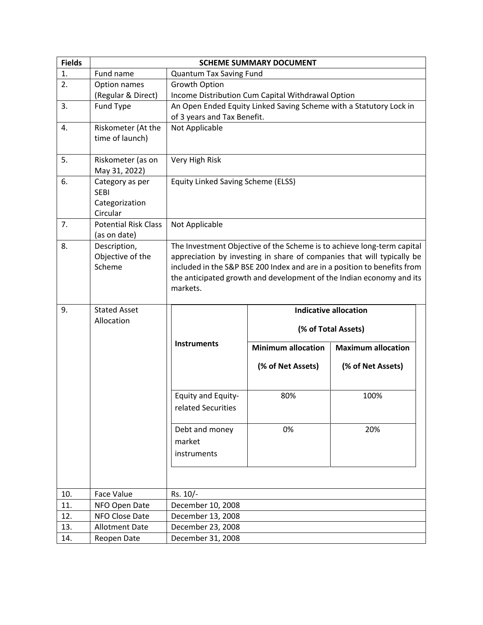| <b>Fields</b> | <b>SCHEME SUMMARY DOCUMENT</b>                               |                                          |                                                   |                                                                                                                                                                                                                                                                                                      |  |
|---------------|--------------------------------------------------------------|------------------------------------------|---------------------------------------------------|------------------------------------------------------------------------------------------------------------------------------------------------------------------------------------------------------------------------------------------------------------------------------------------------------|--|
| 1.            | Fund name                                                    | Quantum Tax Saving Fund                  |                                                   |                                                                                                                                                                                                                                                                                                      |  |
| 2.            | Option names                                                 | Growth Option                            |                                                   |                                                                                                                                                                                                                                                                                                      |  |
|               | (Regular & Direct)                                           |                                          | Income Distribution Cum Capital Withdrawal Option |                                                                                                                                                                                                                                                                                                      |  |
| 3.            | Fund Type                                                    |                                          |                                                   | An Open Ended Equity Linked Saving Scheme with a Statutory Lock in                                                                                                                                                                                                                                   |  |
|               |                                                              | of 3 years and Tax Benefit.              |                                                   |                                                                                                                                                                                                                                                                                                      |  |
| 4.            | Riskometer (At the<br>time of launch)                        | Not Applicable                           |                                                   |                                                                                                                                                                                                                                                                                                      |  |
| 5.            | Riskometer (as on<br>May 31, 2022)                           | Very High Risk                           |                                                   |                                                                                                                                                                                                                                                                                                      |  |
| 6.            | Category as per<br><b>SEBI</b><br>Categorization<br>Circular | Equity Linked Saving Scheme (ELSS)       |                                                   |                                                                                                                                                                                                                                                                                                      |  |
| 7.            | <b>Potential Risk Class</b><br>(as on date)                  | Not Applicable                           |                                                   |                                                                                                                                                                                                                                                                                                      |  |
| 8.            | Description,<br>Objective of the<br>Scheme                   | markets.                                 |                                                   | The Investment Objective of the Scheme is to achieve long-term capital<br>appreciation by investing in share of companies that will typically be<br>included in the S&P BSE 200 Index and are in a position to benefits from<br>the anticipated growth and development of the Indian economy and its |  |
|               |                                                              |                                          |                                                   |                                                                                                                                                                                                                                                                                                      |  |
| 9.            | <b>Stated Asset</b>                                          |                                          |                                                   | <b>Indicative allocation</b>                                                                                                                                                                                                                                                                         |  |
|               | Allocation                                                   |                                          |                                                   | (% of Total Assets)                                                                                                                                                                                                                                                                                  |  |
|               |                                                              | <b>Instruments</b>                       | <b>Minimum allocation</b>                         | <b>Maximum allocation</b>                                                                                                                                                                                                                                                                            |  |
|               |                                                              |                                          | (% of Net Assets)                                 | (% of Net Assets)                                                                                                                                                                                                                                                                                    |  |
|               |                                                              | Equity and Equity-<br>related Securities | 80%                                               | 100%                                                                                                                                                                                                                                                                                                 |  |
|               |                                                              | Debt and money<br>market<br>instruments  | 0%                                                | 20%                                                                                                                                                                                                                                                                                                  |  |
|               |                                                              |                                          |                                                   |                                                                                                                                                                                                                                                                                                      |  |
| 10.           | Face Value                                                   | Rs. 10/-                                 |                                                   |                                                                                                                                                                                                                                                                                                      |  |
| 11.           | NFO Open Date                                                | December 10, 2008                        |                                                   |                                                                                                                                                                                                                                                                                                      |  |
| 12.           | NFO Close Date                                               | December 13, 2008                        |                                                   |                                                                                                                                                                                                                                                                                                      |  |
| 13.           | <b>Allotment Date</b>                                        | December 23, 2008<br>December 31, 2008   |                                                   |                                                                                                                                                                                                                                                                                                      |  |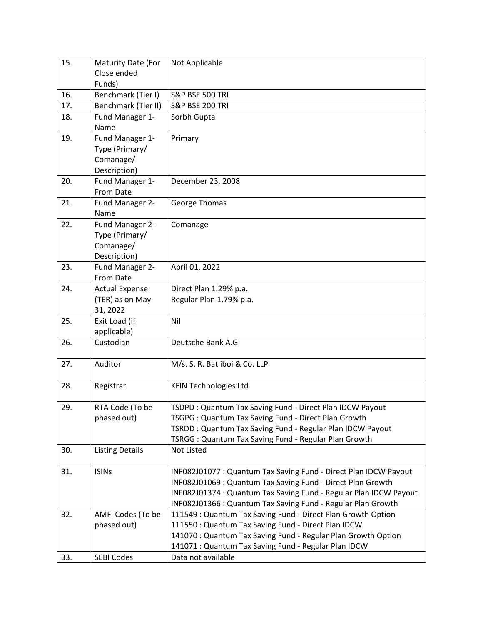| 15. | Maturity Date (For          | Not Applicable                                                    |
|-----|-----------------------------|-------------------------------------------------------------------|
|     | Close ended                 |                                                                   |
|     | Funds)                      |                                                                   |
| 16. | Benchmark (Tier I)          | <b>S&amp;P BSE 500 TRI</b>                                        |
| 17. | Benchmark (Tier II)         | <b>S&amp;P BSE 200 TRI</b>                                        |
| 18. | Fund Manager 1-             | Sorbh Gupta                                                       |
|     | Name                        |                                                                   |
| 19. | Fund Manager 1-             | Primary                                                           |
|     | Type (Primary/              |                                                                   |
|     | Comanage/                   |                                                                   |
|     | Description)                |                                                                   |
| 20. | Fund Manager 1-             | December 23, 2008                                                 |
|     | From Date                   |                                                                   |
| 21. | Fund Manager 2-             | George Thomas                                                     |
|     | Name                        |                                                                   |
| 22. | Fund Manager 2-             | Comanage                                                          |
|     | Type (Primary/              |                                                                   |
|     | Comanage/                   |                                                                   |
|     | Description)                |                                                                   |
| 23. | Fund Manager 2-             | April 01, 2022                                                    |
|     | From Date                   |                                                                   |
| 24. | <b>Actual Expense</b>       | Direct Plan 1.29% p.a.                                            |
|     | (TER) as on May<br>31, 2022 | Regular Plan 1.79% p.a.                                           |
| 25. | Exit Load (if               | Nil                                                               |
|     | applicable)                 |                                                                   |
| 26. | Custodian                   | Deutsche Bank A.G                                                 |
|     |                             |                                                                   |
| 27. | Auditor                     | M/s. S. R. Batliboi & Co. LLP                                     |
|     |                             |                                                                   |
| 28. | Registrar                   | <b>KFIN Technologies Ltd</b>                                      |
|     |                             |                                                                   |
| 29. | RTA Code (To be             | TSDPD: Quantum Tax Saving Fund - Direct Plan IDCW Payout          |
|     | phased out)                 | TSGPG: Quantum Tax Saving Fund - Direct Plan Growth               |
|     |                             | TSRDD: Quantum Tax Saving Fund - Regular Plan IDCW Payout         |
|     |                             | TSRGG: Quantum Tax Saving Fund - Regular Plan Growth              |
| 30. | <b>Listing Details</b>      | Not Listed                                                        |
|     |                             |                                                                   |
| 31. | <b>ISINs</b>                | INF082J01077: Quantum Tax Saving Fund - Direct Plan IDCW Payout   |
|     |                             | INF082J01069 : Quantum Tax Saving Fund - Direct Plan Growth       |
|     |                             | INF082J01374 : Quantum Tax Saving Fund - Regular Plan IDCW Payout |
|     |                             | INF082J01366 : Quantum Tax Saving Fund - Regular Plan Growth      |
| 32. | AMFI Codes (To be           | 111549: Quantum Tax Saving Fund - Direct Plan Growth Option       |
|     | phased out)                 | 111550: Quantum Tax Saving Fund - Direct Plan IDCW                |
|     |                             | 141070: Quantum Tax Saving Fund - Regular Plan Growth Option      |
|     |                             | 141071 : Quantum Tax Saving Fund - Regular Plan IDCW              |
| 33. | <b>SEBI Codes</b>           | Data not available                                                |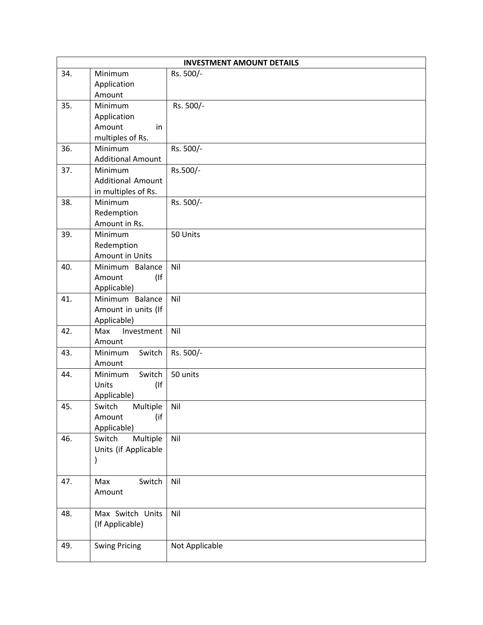|     |                             | <b>INVESTMENT AMOUNT DETAILS</b> |
|-----|-----------------------------|----------------------------------|
| 34. | Minimum                     | Rs. 500/-                        |
|     | Application                 |                                  |
|     | Amount                      |                                  |
| 35. | Minimum                     | Rs. 500/-                        |
|     | Application                 |                                  |
|     | Amount<br>in                |                                  |
|     | multiples of Rs.            |                                  |
| 36. | Minimum                     | Rs. 500/-                        |
|     | <b>Additional Amount</b>    |                                  |
| 37. | Minimum                     | Rs.500/-                         |
|     | <b>Additional Amount</b>    |                                  |
|     | in multiples of Rs.         |                                  |
| 38. | Minimum                     | Rs. 500/-                        |
|     | Redemption                  |                                  |
|     | Amount in Rs.               |                                  |
| 39. | Minimum                     | 50 Units                         |
|     | Redemption                  |                                  |
|     | Amount in Units             |                                  |
| 40. | Minimum Balance             | Nil                              |
|     | Amount<br>$($ If            |                                  |
|     | Applicable)                 |                                  |
| 41. | Minimum Balance             | Nil                              |
|     | Amount in units (If         |                                  |
|     | Applicable)                 |                                  |
| 42. | Max<br>Investment           | Nil                              |
| 43. | Amount<br>Minimum<br>Switch | Rs. 500/-                        |
|     | Amount                      |                                  |
| 44. | Switch<br>Minimum           | 50 units                         |
|     | (If<br>Units                |                                  |
|     | Applicable)                 |                                  |
| 45. | Switch<br>Multiple          | Nil                              |
|     | (if<br>Amount               |                                  |
|     | Applicable)                 |                                  |
| 46. | Multiple<br>Switch          | Nil                              |
|     | Units (if Applicable        |                                  |
|     |                             |                                  |
|     |                             |                                  |
| 47. | Switch<br>Max               | Nil                              |
|     | Amount                      |                                  |
|     |                             |                                  |
| 48. | Max Switch Units            | Nil                              |
|     | (If Applicable)             |                                  |
|     |                             |                                  |
| 49. | <b>Swing Pricing</b>        | Not Applicable                   |
|     |                             |                                  |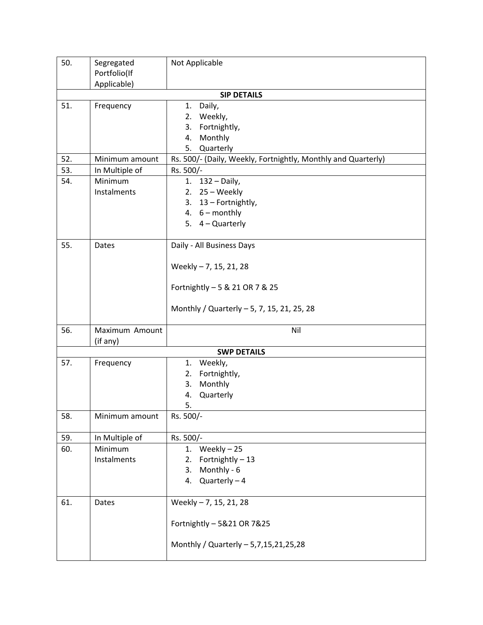| 50. | Segregated     | Not Applicable                                                |
|-----|----------------|---------------------------------------------------------------|
|     | Portfolio(If   |                                                               |
|     | Applicable)    |                                                               |
|     |                | <b>SIP DETAILS</b>                                            |
| 51. | Frequency      | Daily,<br>1.                                                  |
|     |                | 2. Weekly,                                                    |
|     |                | Fortnightly,<br>3.                                            |
|     |                | Monthly<br>4.<br>Quarterly<br>5.                              |
| 52. | Minimum amount | Rs. 500/- (Daily, Weekly, Fortnightly, Monthly and Quarterly) |
| 53. | In Multiple of | Rs. 500/-                                                     |
| 54. | Minimum        | $132 - Daily$ ,<br>1.                                         |
|     | Instalments    | 2. $25 - \text{Weekly}$                                       |
|     |                | 3. 13 - Fortnightly,                                          |
|     |                | 4. $6 - monthly$                                              |
|     |                | 5. 4 - Quarterly                                              |
|     |                |                                                               |
| 55. | Dates          | Daily - All Business Days                                     |
|     |                |                                                               |
|     |                | Weekly - 7, 15, 21, 28                                        |
|     |                |                                                               |
|     |                | Fortnightly - 5 & 21 OR 7 & 25                                |
|     |                |                                                               |
|     |                | Monthly / Quarterly - 5, 7, 15, 21, 25, 28                    |
| 56. | Maximum Amount |                                                               |
|     | (if any)       | Nil                                                           |
|     |                | <b>SWP DETAILS</b>                                            |
| 57. | Frequency      | Weekly,<br>1.                                                 |
|     |                | Fortnightly,<br>2.                                            |
|     |                | Monthly<br>3.                                                 |
|     |                | Quarterly<br>4.                                               |
|     |                | 5.                                                            |
| 58. | Minimum amount | Rs. 500/-                                                     |
|     |                |                                                               |
| 59. | In Multiple of | Rs. 500/-                                                     |
| 60. | Minimum        | Weekly-25<br>1.                                               |
|     | Instalments    | Fortnightly - 13<br>2.                                        |
|     |                | Monthly - 6<br>3.                                             |
|     |                | 4. Quarterly $-4$                                             |
|     |                |                                                               |
| 61. | Dates          | Weekly - 7, 15, 21, 28                                        |
|     |                |                                                               |
|     |                | Fortnightly - 5&21 OR 7&25                                    |
|     |                | Monthly / Quarterly - 5,7,15,21,25,28                         |
|     |                |                                                               |